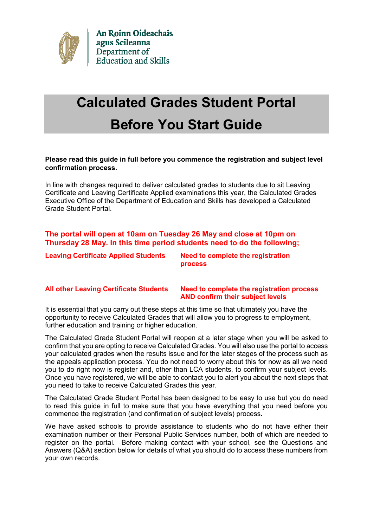

# **Calculated Grades Student Portal Before You Start Guide**

### **Please read this guide in full before you commence the registration and subject level confirmation process.**

In line with changes required to deliver calculated grades to students due to sit Leaving Certificate and Leaving Certificate Applied examinations this year, the Calculated Grades Executive Office of the Department of Education and Skills has developed a Calculated Grade Student Portal.

# **The portal will open at 10am on Tuesday 26 May and close at 10pm on Thursday 28 May. In this time period students need to do the following;**

**Leaving Certificate Applied Students Need to complete the registration** 

**process** 

#### **All other Leaving Certificate Students Need to complete the registration process AND confirm their subject levels**

It is essential that you carry out these steps at this time so that ultimately you have the opportunity to receive Calculated Grades that will allow you to progress to employment, further education and training or higher education.

The Calculated Grade Student Portal will reopen at a later stage when you will be asked to confirm that you are opting to receive Calculated Grades. You will also use the portal to access your calculated grades when the results issue and for the later stages of the process such as the appeals application process. You do not need to worry about this for now as all we need you to do right now is register and, other than LCA students, to confirm your subject levels. Once you have registered, we will be able to contact you to alert you about the next steps that you need to take to receive Calculated Grades this year.

The Calculated Grade Student Portal has been designed to be easy to use but you do need to read this guide in full to make sure that you have everything that you need before you commence the registration (and confirmation of subject levels) process.

We have asked schools to provide assistance to students who do not have either their examination number or their Personal Public Services number, both of which are needed to register on the portal. Before making contact with your school, see the Questions and Answers (Q&A) section below for details of what you should do to access these numbers from your own records.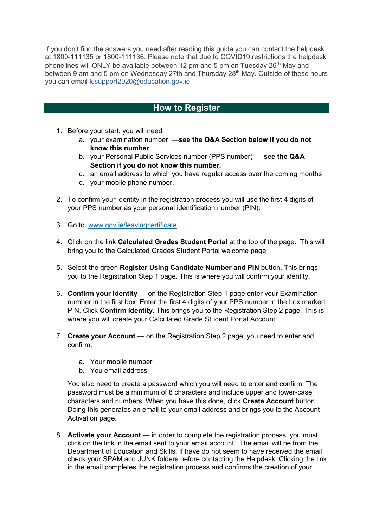If you don't find the answers you need after reading this guide you can contact the helpdesk at 1800-111135 or 1800-111136. Please note that due to COVID19 restrictions the helpdesk phonelines will ONLY be available between 12 pm and 5 pm on Tuesday 26<sup>th</sup> May and between 9 am and 5 pm on Wednesday 27th and Thursday 28<sup>th</sup> May. Outside of these hours you can email [lcsupport2020@education.gov.ie.](mailto:lcsupport2020@education.gov.ie)

# **How to Register**

- 1. Before your start, you will need
	- a. your examination number —**see the Q&A Section below if you do not know this number**.
	- b. your Personal Public Services number (PPS number) —-**see the Q&A Section if you do not know this number.**
	- c. an email address to which you have regular access over the coming months
	- d. your mobile phone number.
- 2. To confirm your identity in the registration process you will use the first 4 digits of your PPS number as your personal identification number (PIN).
- 3. Go to [www.gov.ie/leavingcertificate](http://www.gov.ie/leavingcertificate)
- 4. Click on the link **Calculated Grades Student Portal** at the top of the page. This will bring you to the Calculated Grades Student Portal welcome page
- 5. Select the green **Register Using Candidate Number and PIN** button. This brings you to the Registration Step 1 page. This is where you will confirm your identity.
- 6. **Confirm your Identity** on the Registration Step 1 page enter your Examination number in the first box. Enter the first 4 digits of your PPS number in the box marked PIN. Click **Confirm Identity**. This brings you to the Registration Step 2 page. This is where you will create your Calculated Grade Student Portal Account.
- 7. **Create your Account** on the Registration Step 2 page, you need to enter and confirm;
	- a. Your mobile number
	- b. You email address

You also need to create a password which you will need to enter and confirm. The password must be a minimum of 8 characters and include upper and lower-case characters and numbers. When you have this done, click **Create Account** button. Doing this generates an email to your email address and brings you to the Account Activation page.

8. **Activate your Account** — in order to complete the registration process, you must click on the link in the email sent to your email account. The email will be from the Department of Education and Skills. If have do not seem to have received the email check your SPAM and JUNK folders before contacting the Helpdesk. Clicking the link in the email completes the registration process and confirms the creation of your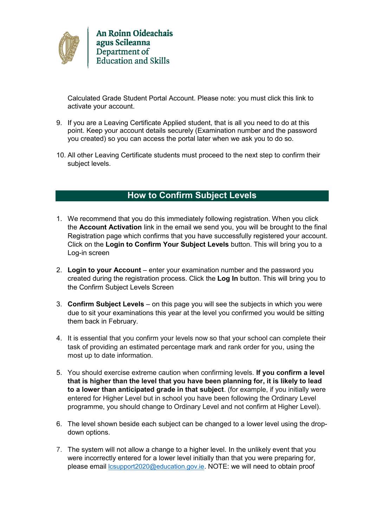

Calculated Grade Student Portal Account. Please note: you must click this link to activate your account.

- 9. If you are a Leaving Certificate Applied student, that is all you need to do at this point. Keep your account details securely (Examination number and the password you created) so you can access the portal later when we ask you to do so.
- 10. All other Leaving Certificate students must proceed to the next step to confirm their subject levels.

# **How to Confirm Subject Levels**

- 1. We recommend that you do this immediately following registration. When you click the **Account Activation** link in the email we send you, you will be brought to the final Registration page which confirms that you have successfully registered your account. Click on the **Login to Confirm Your Subject Levels** button. This will bring you to a Log-in screen
- 2. **Login to your Account** enter your examination number and the password you created during the registration process. Click the **Log In** button. This will bring you to the Confirm Subject Levels Screen
- 3. **Confirm Subject Levels** on this page you will see the subjects in which you were due to sit your examinations this year at the level you confirmed you would be sitting them back in February.
- 4. It is essential that you confirm your levels now so that your school can complete their task of providing an estimated percentage mark and rank order for you, using the most up to date information.
- 5. You should exercise extreme caution when confirming levels. **If you confirm a level that is higher than the level that you have been planning for, it is likely to lead to a lower than anticipated grade in that subject**. (for example, if you initially were entered for Higher Level but in school you have been following the Ordinary Level programme, you should change to Ordinary Level and not confirm at Higher Level).
- 6. The level shown beside each subject can be changed to a lower level using the dropdown options.
- 7. The system will not allow a change to a higher level. In the unlikely event that you were incorrectly entered for a lower level initially than that you were preparing for, please email [lcsupport2020@education.gov.ie](mailto:lcsupport2020@education.gov.ie). NOTE: we will need to obtain proof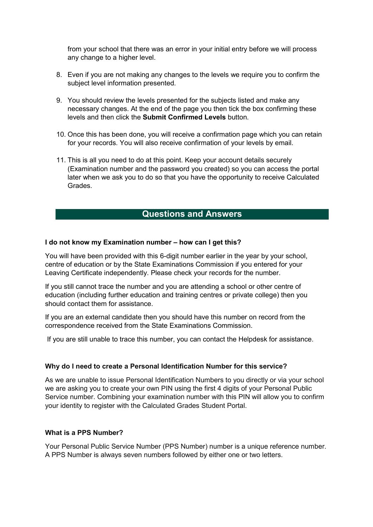from your school that there was an error in your initial entry before we will process any change to a higher level.

- 8. Even if you are not making any changes to the levels we require you to confirm the subject level information presented.
- 9. You should review the levels presented for the subjects listed and make any necessary changes. At the end of the page you then tick the box confirming these levels and then click the **Submit Confirmed Levels** button.
- 10. Once this has been done, you will receive a confirmation page which you can retain for your records. You will also receive confirmation of your levels by email.
- 11. This is all you need to do at this point. Keep your account details securely (Examination number and the password you created) so you can access the portal later when we ask you to do so that you have the opportunity to receive Calculated Grades.

# **Questions and Answers**

#### **I do not know my Examination number – how can I get this?**

You will have been provided with this 6-digit number earlier in the year by your school, centre of education or by the State Examinations Commission if you entered for your Leaving Certificate independently. Please check your records for the number.

If you still cannot trace the number and you are attending a school or other centre of education (including further education and training centres or private college) then you should contact them for assistance.

If you are an external candidate then you should have this number on record from the correspondence received from the State Examinations Commission.

If you are still unable to trace this number, you can contact the Helpdesk for assistance.

#### **Why do I need to create a Personal Identification Number for this service?**

As we are unable to issue Personal Identification Numbers to you directly or via your school we are asking you to create your own PIN using the first 4 digits of your Personal Public Service number. Combining your examination number with this PIN will allow you to confirm your identity to register with the Calculated Grades Student Portal.

#### **What is a PPS Number?**

Your Personal Public Service Number (PPS Number) number is a unique reference number. A PPS Number is always seven numbers followed by either one or two letters.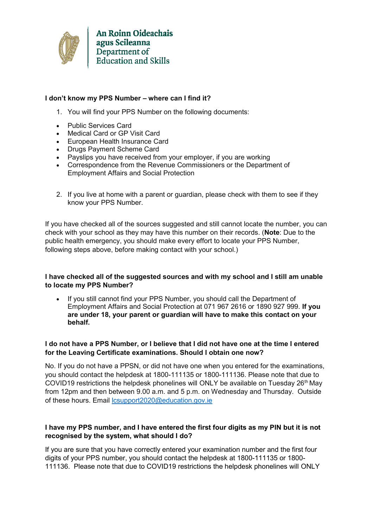

# **I don't know my PPS Number – where can I find it?**

- 1. You will find your PPS Number on the following documents:
- Public Services Card
- Medical Card or GP Visit Card
- European Health Insurance Card
- Drugs Payment Scheme Card
- Payslips you have received from your employer, if you are working
- Correspondence from the Revenue Commissioners or the Department of Employment Affairs and Social Protection
- 2. If you live at home with a parent or guardian, please check with them to see if they know your PPS Number.

If you have checked all of the sources suggested and still cannot locate the number, you can check with your school as they may have this number on their records. (**Note**: Due to the public health emergency, you should make every effort to locate your PPS Number, following steps above, before making contact with your school.)

# **I have checked all of the suggested sources and with my school and I still am unable to locate my PPS Number?**

• If you still cannot find your PPS Number, you should call the Department of Employment Affairs and Social Protection at 071 967 2616 or 1890 927 999. **If you are under 18, your parent or guardian will have to make this contact on your behalf.**

# **I do not have a PPS Number, or I believe that I did not have one at the time I entered for the Leaving Certificate examinations. Should I obtain one now?**

No. If you do not have a PPSN, or did not have one when you entered for the examinations, you should contact the helpdesk at 1800-111135 or 1800-111136. Please note that due to COVID19 restrictions the helpdesk phonelines will ONLY be available on Tuesday 26<sup>th</sup> May from 12pm and then between 9.00 a.m. and 5 p.m. on Wednesday and Thursday. Outside of these hours. Email [lcsupport2020@education.gov.ie](mailto:lcsupport2020@education.gov.ie)

# **I have my PPS number, and I have entered the first four digits as my PIN but it is not recognised by the system, what should I do?**

If you are sure that you have correctly entered your examination number and the first four digits of your PPS number, you should contact the helpdesk at 1800-111135 or 1800- 111136. Please note that due to COVID19 restrictions the helpdesk phonelines will ONLY